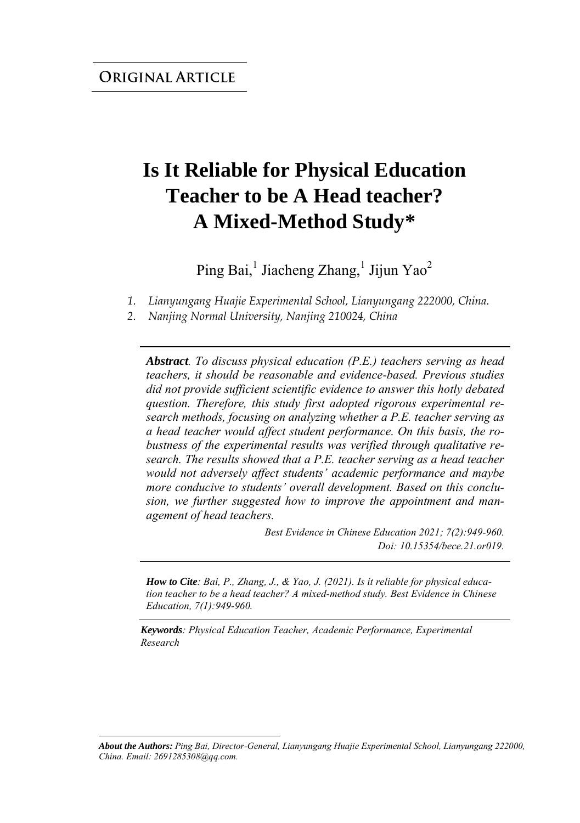# **Is It Reliable for Physical Education Teacher to be A Head teacher? A Mixed-Method Study\***

Ping Bai,<sup>1</sup> Jiacheng Zhang,<sup>1</sup> Jijun Yao<sup>2</sup>

*1. Lianyungang Huajie Experimental School, Lianyungang 222000, China.* 

*2. Nanjing Normal University, Nanjing 210024, China* 

*Abstract. To discuss physical education (P.E.) teachers serving as head teachers, it should be reasonable and evidence-based. Previous studies did not provide sufficient scientific evidence to answer this hotly debated question. Therefore, this study first adopted rigorous experimental research methods, focusing on analyzing whether a P.E. teacher serving as a head teacher would affect student performance. On this basis, the robustness of the experimental results was verified through qualitative research. The results showed that a P.E. teacher serving as a head teacher would not adversely affect students' academic performance and maybe more conducive to students' overall development. Based on this conclusion, we further suggested how to improve the appointment and management of head teachers.*

> *Best Evidence in Chinese Education 2021; 7(2):949-960. Doi: 10.15354/bece.21.or019.*

*How to Cite: Bai, P., Zhang, J., & Yao, J. (2021). Is it reliable for physical education teacher to be a head teacher? A mixed-method study. Best Evidence in Chinese Education, 7(1):949-960.*

*Keywords: Physical Education Teacher, Academic Performance, Experimental Research*

*About the Authors: Ping Bai, Director-General, Lianyungang Huajie Experimental School, Lianyungang 222000, China. Email: 2691285308@qq.com.*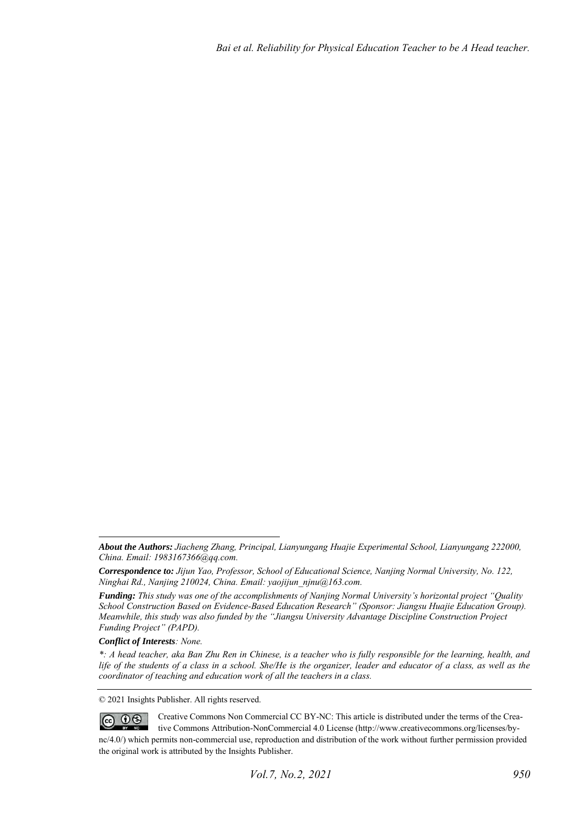#### *Conflict of Interests: None.*

© 2021 Insights Publisher. All rights reserved.

 $\circledcirc$   $\circledcirc$ Creative Commons Non Commercial CC BY-NC: This article is distributed under the terms of the Creative Commons Attribution-NonCommercial 4.0 License (http://www.creativecommons.org/licenses/bync/4.0/) which permits non-commercial use, reproduction and distribution of the work without further permission provided the original work is attributed by the Insights Publisher.

*About the Authors: Jiacheng Zhang, Principal, Lianyungang Huajie Experimental School, Lianyungang 222000, China. Email: 1983167366@qq.com.* 

*Correspondence to: Jijun Yao, Professor, School of Educational Science, Nanjing Normal University, No. 122, Ninghai Rd., Nanjing 210024, China. Email: yaojijun\_njnu@163.com.* 

*Funding: This study was one of the accomplishments of Nanjing Normal University's horizontal project "Quality School Construction Based on Evidence-Based Education Research" (Sponsor: Jiangsu Huajie Education Group). Meanwhile, this study was also funded by the "Jiangsu University Advantage Discipline Construction Project Funding Project" (PAPD).* 

*<sup>\*:</sup> A head teacher, aka Ban Zhu Ren in Chinese, is a teacher who is fully responsible for the learning, health, and life of the students of a class in a school. She/He is the organizer, leader and educator of a class, as well as the coordinator of teaching and education work of all the teachers in a class.*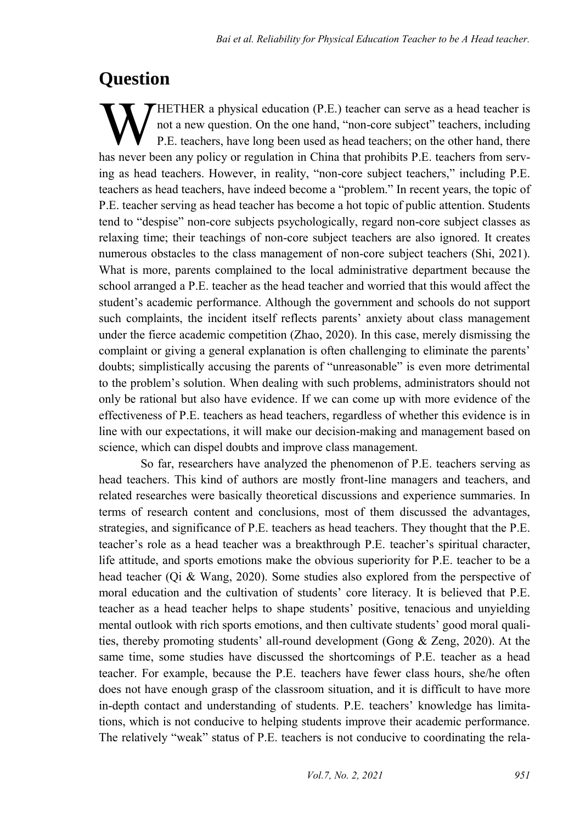### **Question**

HETHER a physical education (P.E.) teacher can serve as a head teacher is not a new question. On the one hand, "non-core subject" teachers, including P.E. teachers, have long been used as head teachers; on the other hand, there **WETHER** a physical education (P.E.) teacher can serve as a head teacher is not a new question. On the one hand, "non-core subject" teachers, including P.E. teachers, have long been used as head teachers; on the other hand ing as head teachers. However, in reality, "non-core subject teachers," including P.E. teachers as head teachers, have indeed become a "problem." In recent years, the topic of P.E. teacher serving as head teacher has become a hot topic of public attention. Students tend to "despise" non-core subjects psychologically, regard non-core subject classes as relaxing time; their teachings of non-core subject teachers are also ignored. It creates numerous obstacles to the class management of non-core subject teachers (Shi, 2021). What is more, parents complained to the local administrative department because the school arranged a P.E. teacher as the head teacher and worried that this would affect the student's academic performance. Although the government and schools do not support such complaints, the incident itself reflects parents' anxiety about class management under the fierce academic competition (Zhao, 2020). In this case, merely dismissing the complaint or giving a general explanation is often challenging to eliminate the parents' doubts; simplistically accusing the parents of "unreasonable" is even more detrimental to the problem's solution. When dealing with such problems, administrators should not only be rational but also have evidence. If we can come up with more evidence of the effectiveness of P.E. teachers as head teachers, regardless of whether this evidence is in line with our expectations, it will make our decision-making and management based on science, which can dispel doubts and improve class management.

So far, researchers have analyzed the phenomenon of P.E. teachers serving as head teachers. This kind of authors are mostly front-line managers and teachers, and related researches were basically theoretical discussions and experience summaries. In terms of research content and conclusions, most of them discussed the advantages, strategies, and significance of P.E. teachers as head teachers. They thought that the P.E. teacher's role as a head teacher was a breakthrough P.E. teacher's spiritual character, life attitude, and sports emotions make the obvious superiority for P.E. teacher to be a head teacher (Qi & Wang, 2020). Some studies also explored from the perspective of moral education and the cultivation of students' core literacy. It is believed that P.E. teacher as a head teacher helps to shape students' positive, tenacious and unyielding mental outlook with rich sports emotions, and then cultivate students' good moral qualities, thereby promoting students' all-round development (Gong & Zeng, 2020). At the same time, some studies have discussed the shortcomings of P.E. teacher as a head teacher. For example, because the P.E. teachers have fewer class hours, she/he often does not have enough grasp of the classroom situation, and it is difficult to have more in-depth contact and understanding of students. P.E. teachers' knowledge has limitations, which is not conducive to helping students improve their academic performance. The relatively "weak" status of P.E. teachers is not conducive to coordinating the rela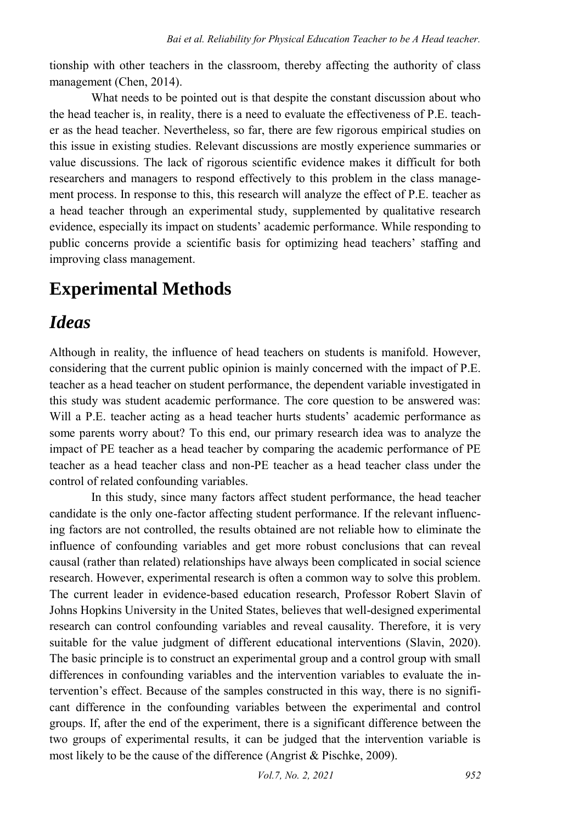tionship with other teachers in the classroom, thereby affecting the authority of class management (Chen, 2014).

What needs to be pointed out is that despite the constant discussion about who the head teacher is, in reality, there is a need to evaluate the effectiveness of P.E. teacher as the head teacher. Nevertheless, so far, there are few rigorous empirical studies on this issue in existing studies. Relevant discussions are mostly experience summaries or value discussions. The lack of rigorous scientific evidence makes it difficult for both researchers and managers to respond effectively to this problem in the class management process. In response to this, this research will analyze the effect of P.E. teacher as a head teacher through an experimental study, supplemented by qualitative research evidence, especially its impact on students' academic performance. While responding to public concerns provide a scientific basis for optimizing head teachers' staffing and improving class management.

# **Experimental Methods**

# *Ideas*

Although in reality, the influence of head teachers on students is manifold. However, considering that the current public opinion is mainly concerned with the impact of P.E. teacher as a head teacher on student performance, the dependent variable investigated in this study was student academic performance. The core question to be answered was: Will a P.E. teacher acting as a head teacher hurts students' academic performance as some parents worry about? To this end, our primary research idea was to analyze the impact of PE teacher as a head teacher by comparing the academic performance of PE teacher as a head teacher class and non-PE teacher as a head teacher class under the control of related confounding variables.

In this study, since many factors affect student performance, the head teacher candidate is the only one-factor affecting student performance. If the relevant influencing factors are not controlled, the results obtained are not reliable how to eliminate the influence of confounding variables and get more robust conclusions that can reveal causal (rather than related) relationships have always been complicated in social science research. However, experimental research is often a common way to solve this problem. The current leader in evidence-based education research, Professor Robert Slavin of Johns Hopkins University in the United States, believes that well-designed experimental research can control confounding variables and reveal causality. Therefore, it is very suitable for the value judgment of different educational interventions (Slavin, 2020). The basic principle is to construct an experimental group and a control group with small differences in confounding variables and the intervention variables to evaluate the intervention's effect. Because of the samples constructed in this way, there is no significant difference in the confounding variables between the experimental and control groups. If, after the end of the experiment, there is a significant difference between the two groups of experimental results, it can be judged that the intervention variable is most likely to be the cause of the difference (Angrist & Pischke, 2009).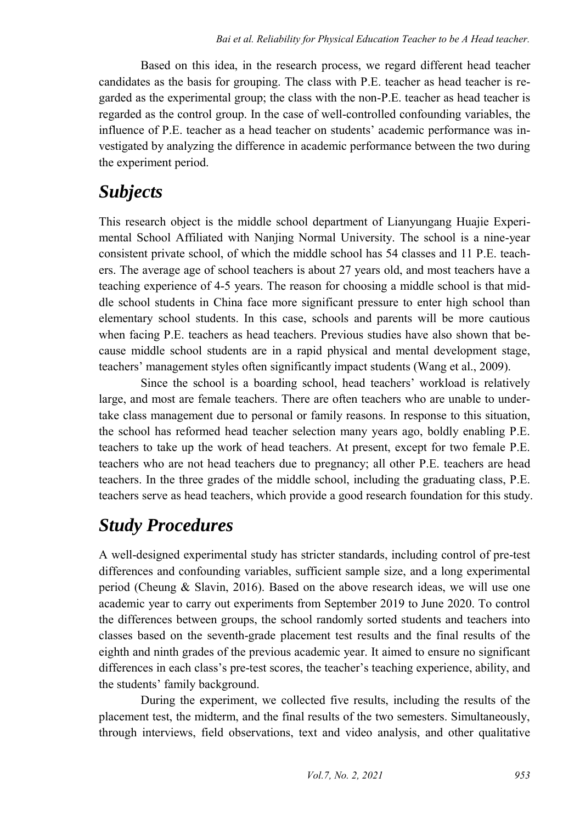Based on this idea, in the research process, we regard different head teacher candidates as the basis for grouping. The class with P.E. teacher as head teacher is regarded as the experimental group; the class with the non-P.E. teacher as head teacher is regarded as the control group. In the case of well-controlled confounding variables, the influence of P.E. teacher as a head teacher on students' academic performance was investigated by analyzing the difference in academic performance between the two during the experiment period.

## *Subjects*

This research object is the middle school department of Lianyungang Huajie Experimental School Affiliated with Nanjing Normal University. The school is a nine-year consistent private school, of which the middle school has 54 classes and 11 P.E. teachers. The average age of school teachers is about 27 years old, and most teachers have a teaching experience of 4-5 years. The reason for choosing a middle school is that middle school students in China face more significant pressure to enter high school than elementary school students. In this case, schools and parents will be more cautious when facing P.E. teachers as head teachers. Previous studies have also shown that because middle school students are in a rapid physical and mental development stage, teachers' management styles often significantly impact students (Wang et al., 2009).

Since the school is a boarding school, head teachers' workload is relatively large, and most are female teachers. There are often teachers who are unable to undertake class management due to personal or family reasons. In response to this situation, the school has reformed head teacher selection many years ago, boldly enabling P.E. teachers to take up the work of head teachers. At present, except for two female P.E. teachers who are not head teachers due to pregnancy; all other P.E. teachers are head teachers. In the three grades of the middle school, including the graduating class, P.E. teachers serve as head teachers, which provide a good research foundation for this study.

# *Study Procedures*

A well-designed experimental study has stricter standards, including control of pre-test differences and confounding variables, sufficient sample size, and a long experimental period (Cheung & Slavin, 2016). Based on the above research ideas, we will use one academic year to carry out experiments from September 2019 to June 2020. To control the differences between groups, the school randomly sorted students and teachers into classes based on the seventh-grade placement test results and the final results of the eighth and ninth grades of the previous academic year. It aimed to ensure no significant differences in each class's pre-test scores, the teacher's teaching experience, ability, and the students' family background.

During the experiment, we collected five results, including the results of the placement test, the midterm, and the final results of the two semesters. Simultaneously, through interviews, field observations, text and video analysis, and other qualitative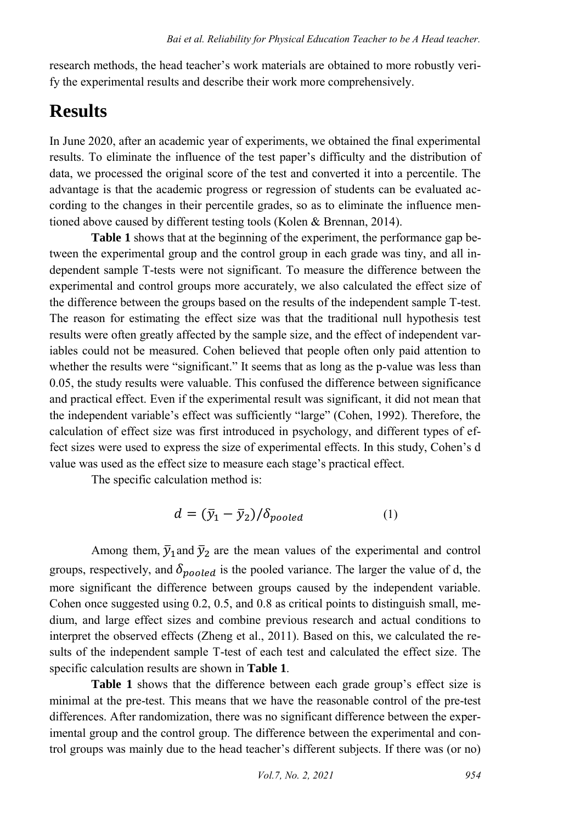research methods, the head teacher's work materials are obtained to more robustly verify the experimental results and describe their work more comprehensively.

# **Results**

In June 2020, after an academic year of experiments, we obtained the final experimental results. To eliminate the influence of the test paper's difficulty and the distribution of data, we processed the original score of the test and converted it into a percentile. The advantage is that the academic progress or regression of students can be evaluated according to the changes in their percentile grades, so as to eliminate the influence mentioned above caused by different testing tools (Kolen & Brennan, 2014).

**Table 1** shows that at the beginning of the experiment, the performance gap between the experimental group and the control group in each grade was tiny, and all independent sample T-tests were not significant. To measure the difference between the experimental and control groups more accurately, we also calculated the effect size of the difference between the groups based on the results of the independent sample T-test. The reason for estimating the effect size was that the traditional null hypothesis test results were often greatly affected by the sample size, and the effect of independent variables could not be measured. Cohen believed that people often only paid attention to whether the results were "significant." It seems that as long as the p-value was less than 0.05, the study results were valuable. This confused the difference between significance and practical effect. Even if the experimental result was significant, it did not mean that the independent variable's effect was sufficiently "large" (Cohen, 1992). Therefore, the calculation of effect size was first introduced in psychology, and different types of effect sizes were used to express the size of experimental effects. In this study, Cohen's d value was used as the effect size to measure each stage's practical effect.

The specific calculation method is:

$$
d = (\bar{y}_1 - \bar{y}_2) / \delta_{pooled} \tag{1}
$$

Among them,  $\bar{y}_1$  and  $\bar{y}_2$  are the mean values of the experimental and control groups, respectively, and  $\delta_{pooled}$  is the pooled variance. The larger the value of d, the more significant the difference between groups caused by the independent variable. Cohen once suggested using 0.2, 0.5, and 0.8 as critical points to distinguish small, medium, and large effect sizes and combine previous research and actual conditions to interpret the observed effects (Zheng et al., 2011). Based on this, we calculated the results of the independent sample T-test of each test and calculated the effect size. The specific calculation results are shown in **Table 1**.

**Table 1** shows that the difference between each grade group's effect size is minimal at the pre-test. This means that we have the reasonable control of the pre-test differences. After randomization, there was no significant difference between the experimental group and the control group. The difference between the experimental and control groups was mainly due to the head teacher's different subjects. If there was (or no)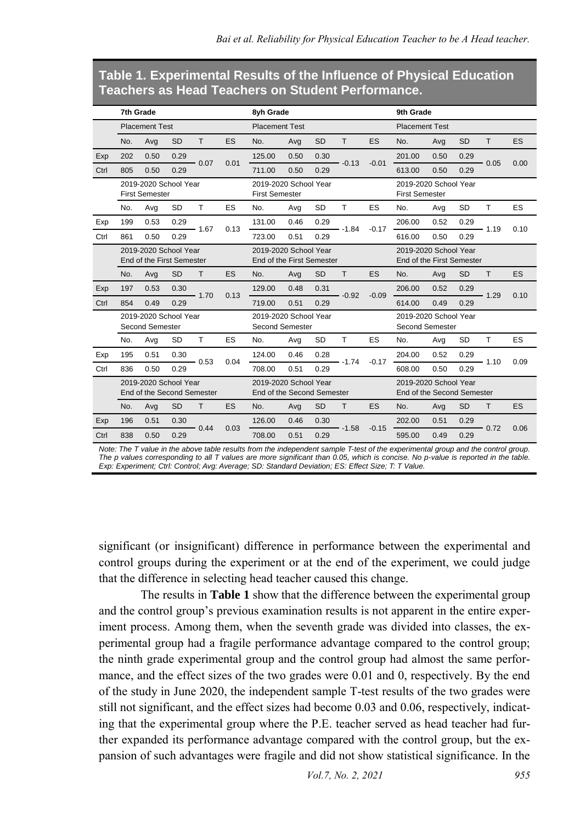#### **Table 1. Experimental Results of the Influence of Physical Education Teachers as Head Teachers on Student Performance.**

|      | 7th Grade                                           |      |           |                 |                                                    | 8vh Grade                                           |      |           |                                                    | 9th Grade                                      |                                                     |      |           |              |      |
|------|-----------------------------------------------------|------|-----------|-----------------|----------------------------------------------------|-----------------------------------------------------|------|-----------|----------------------------------------------------|------------------------------------------------|-----------------------------------------------------|------|-----------|--------------|------|
|      | <b>Placement Test</b>                               |      |           |                 | <b>Placement Test</b>                              |                                                     |      |           | <b>Placement Test</b>                              |                                                |                                                     |      |           |              |      |
|      | No.                                                 | Avg  | <b>SD</b> | T               | ES                                                 | No.                                                 | Avg  | <b>SD</b> | T                                                  | ES                                             | No.                                                 | Avg  | <b>SD</b> | T.           | ES   |
| Exp  | 202                                                 | 0.50 | 0.29      | $-0.07$         | 0.01                                               | 125.00                                              | 0.50 | 0.30      | $-0.13$                                            | $-0.01$                                        | 201.00                                              | 0.50 | 0.29      | $-0.05$      | 0.00 |
| Ctrl | 805                                                 | 0.50 | 0.29      |                 |                                                    | 711.00                                              | 0.50 | 0.29      |                                                    |                                                | 613.00                                              | 0.50 | 0.29      |              |      |
|      | 2019-2020 School Year<br><b>First Semester</b>      |      |           |                 | 2019-2020 School Year<br><b>First Semester</b>     |                                                     |      |           |                                                    | 2019-2020 School Year<br><b>First Semester</b> |                                                     |      |           |              |      |
|      | No.                                                 | Avg  | <b>SD</b> | T               | ES                                                 | No.                                                 | Avg  | <b>SD</b> | $\mathsf{T}$                                       | ES                                             | No.                                                 | Avg  | <b>SD</b> | T            | ES   |
| Exp  | 199                                                 | 0.53 | 0.29      | $-1.67$         | 0.13                                               | 131.00                                              | 0.46 | 0.29      | $-1.84$                                            | $-0.17$                                        | 206.00                                              | 0.52 | 0.29      | $-1.19$      | 0.10 |
| Ctrl | 861                                                 | 0.50 | 0.29      |                 |                                                    | 723.00                                              | 0.51 | 0.29      |                                                    |                                                | 616.00                                              | 0.50 | 0.29      |              |      |
|      | 2019-2020 School Year<br>End of the First Semester  |      |           |                 | 2019-2020 School Year<br>End of the First Semester |                                                     |      |           | 2019-2020 School Year<br>End of the First Semester |                                                |                                                     |      |           |              |      |
|      | No.                                                 | Avg  | <b>SD</b> | T.              | <b>ES</b>                                          | No.                                                 | Avg  | <b>SD</b> | T                                                  | ES                                             | No.                                                 | Avg  | <b>SD</b> | T.           | ES   |
| Exp  | 197                                                 | 0.53 | 0.30      | $-1.70$         | 0.13                                               | 129.00                                              | 0.48 | 0.31      | $-0.92$                                            | $-0.09$                                        | 206.00                                              | 0.52 | 0.29      | 1.29         | 0.10 |
| Ctrl | 854                                                 | 0.49 | 0.29      |                 |                                                    | 719.00                                              | 0.51 | 0.29      |                                                    |                                                | 614.00                                              | 0.49 | 0.29      |              |      |
|      | 2019-2020 School Year<br><b>Second Semester</b>     |      |           |                 |                                                    | 2019-2020 School Year<br><b>Second Semester</b>     |      |           |                                                    | 2019-2020 School Year<br>Second Semester       |                                                     |      |           |              |      |
|      | No.                                                 | Avg  | <b>SD</b> | T               | ES                                                 | No.                                                 | Avg  | <b>SD</b> | T                                                  | ES                                             | No.                                                 | Avg  | <b>SD</b> | T            | ES   |
| Exp  | 195                                                 | 0.51 | 0.30      | $-0.53$<br>0.04 |                                                    | 124.00                                              | 0.46 | 0.28      | $-1.74$                                            | $-0.17$                                        | 204.00                                              | 0.52 | 0.29      | $-1.10$      | 0.09 |
| Ctrl | 836                                                 | 0.50 | 0.29      |                 | 708.00                                             | 0.51                                                | 0.29 |           |                                                    | 608.00                                         | 0.50                                                | 0.29 |           |              |      |
|      | 2019-2020 School Year<br>End of the Second Semester |      |           |                 |                                                    | 2019-2020 School Year<br>End of the Second Semester |      |           |                                                    |                                                | 2019-2020 School Year<br>End of the Second Semester |      |           |              |      |
|      | No.                                                 | Avg  | <b>SD</b> | T.              | ES                                                 | No.                                                 | Avg  | <b>SD</b> | T.                                                 | ES                                             | No.                                                 | Avg  | <b>SD</b> | $\mathsf{T}$ | ES   |
| Exp  | 196                                                 | 0.51 | 0.30      | $-0.44$<br>0.03 |                                                    | 126.00                                              | 0.46 | 0.30      | $-1.58$                                            | $-0.15$                                        | 202.00                                              | 0.51 | 0.29      | $-0.72$      | 0.06 |
| Ctrl | 838                                                 | 0.50 | 0.29      |                 |                                                    | 708.00                                              | 0.51 | 0.29      |                                                    |                                                | 595.00                                              | 0.49 | 0.29      |              |      |

*Note: The T value in the above table results from the independent sample T-test of the experimental group and the control group. The p values corresponding to all T values are more significant than 0.05, which is concise. No p-value is reported in the table. Exp: Experiment; Ctrl: Control; Avg: Average; SD: Standard Deviation; ES: Effect Size; T: T Value.*

significant (or insignificant) difference in performance between the experimental and control groups during the experiment or at the end of the experiment, we could judge that the difference in selecting head teacher caused this change.

The results in **Table 1** show that the difference between the experimental group and the control group's previous examination results is not apparent in the entire experiment process. Among them, when the seventh grade was divided into classes, the experimental group had a fragile performance advantage compared to the control group; the ninth grade experimental group and the control group had almost the same performance, and the effect sizes of the two grades were 0.01 and 0, respectively. By the end of the study in June 2020, the independent sample T-test results of the two grades were still not significant, and the effect sizes had become 0.03 and 0.06, respectively, indicating that the experimental group where the P.E. teacher served as head teacher had further expanded its performance advantage compared with the control group, but the expansion of such advantages were fragile and did not show statistical significance. In the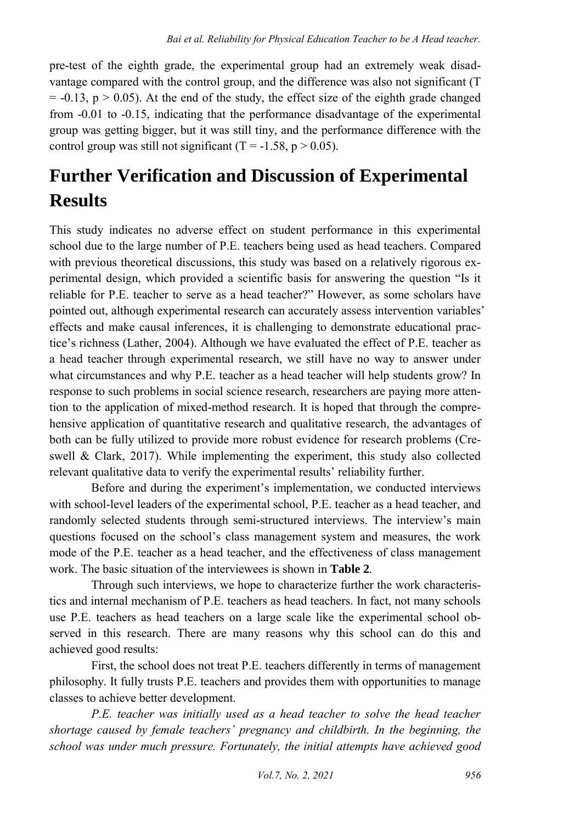pre-test of the eighth grade, the experimental group had an extremely weak disadvantage compared with the control group, and the difference was also not significant (T  $= -0.13$ ,  $p > 0.05$ ). At the end of the study, the effect size of the eighth grade changed from -0.01 to -0.15, indicating that the performance disadvantage of the experimental group was getting bigger, but it was still tiny, and the performance difference with the control group was still not significant (T = -1.58,  $p > 0.05$ ).

# **Further Verification and Discussion of Experimental Results**

This study indicates no adverse effect on student performance in this experimental school due to the large number of P.E. teachers being used as head teachers. Compared with previous theoretical discussions, this study was based on a relatively rigorous experimental design, which provided a scientific basis for answering the question "Is it reliable for P.E. teacher to serve as a head teacher?" However, as some scholars have pointed out, although experimental research can accurately assess intervention variables' effects and make causal inferences, it is challenging to demonstrate educational practice's richness (Lather, 2004). Although we have evaluated the effect of P.E. teacher as a head teacher through experimental research, we still have no way to answer under what circumstances and why P.E. teacher as a head teacher will help students grow? In response to such problems in social science research, researchers are paying more attention to the application of mixed-method research. It is hoped that through the comprehensive application of quantitative research and qualitative research, the advantages of both can be fully utilized to provide more robust evidence for research problems (Creswell & Clark, 2017). While implementing the experiment, this study also collected relevant qualitative data to verify the experimental results' reliability further.

Before and during the experiment's implementation, we conducted interviews with school-level leaders of the experimental school, P.E. teacher as a head teacher, and randomly selected students through semi-structured interviews. The interview's main questions focused on the school's class management system and measures, the work mode of the P.E. teacher as a head teacher, and the effectiveness of class management work. The basic situation of the interviewees is shown in **Table 2**.

Through such interviews, we hope to characterize further the work characteristics and internal mechanism of P.E. teachers as head teachers. In fact, not many schools use P.E. teachers as head teachers on a large scale like the experimental school observed in this research. There are many reasons why this school can do this and achieved good results:

First, the school does not treat P.E. teachers differently in terms of management philosophy. It fully trusts P.E. teachers and provides them with opportunities to manage classes to achieve better development.

*P.E. teacher was initially used as a head teacher to solve the head teacher shortage caused by female teachers' pregnancy and childbirth. In the beginning, the school was under much pressure. Fortunately, the initial attempts have achieved good*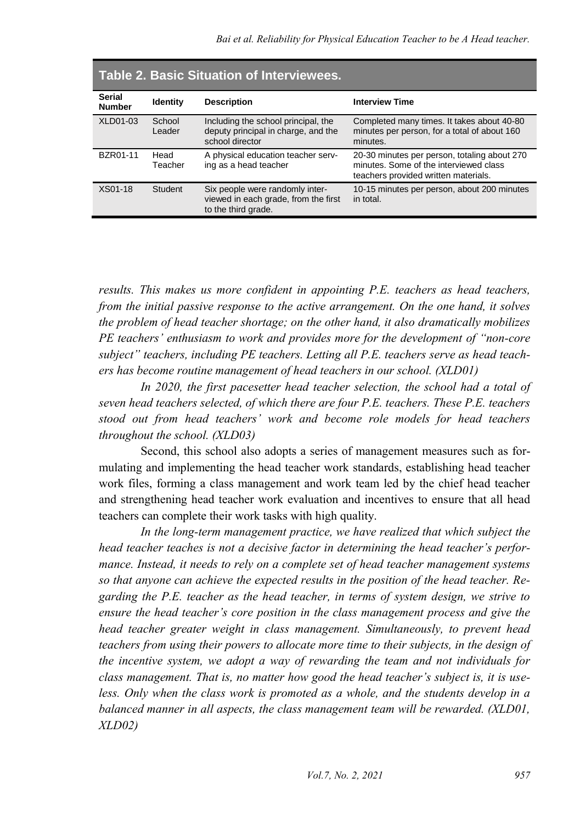| Table 2. Basic Situation of Interviewees. |                  |                                                                                                |                                                                                                                                |  |  |  |  |  |
|-------------------------------------------|------------------|------------------------------------------------------------------------------------------------|--------------------------------------------------------------------------------------------------------------------------------|--|--|--|--|--|
| <b>Serial</b><br><b>Number</b>            | <b>Identity</b>  | <b>Description</b>                                                                             | <b>Interview Time</b>                                                                                                          |  |  |  |  |  |
| <b>XLD01-03</b>                           | School<br>Leader | Including the school principal, the<br>deputy principal in charge, and the<br>school director  | Completed many times. It takes about 40-80<br>minutes per person, for a total of about 160<br>minutes.                         |  |  |  |  |  |
| BZR01-11                                  | Head<br>Teacher  | A physical education teacher serv-<br>ing as a head teacher                                    | 20-30 minutes per person, totaling about 270<br>minutes. Some of the interviewed class<br>teachers provided written materials. |  |  |  |  |  |
| XS01-18                                   | Student          | Six people were randomly inter-<br>viewed in each grade, from the first<br>to the third grade. | 10-15 minutes per person, about 200 minutes<br>in total.                                                                       |  |  |  |  |  |

*results. This makes us more confident in appointing P.E. teachers as head teachers, from the initial passive response to the active arrangement. On the one hand, it solves the problem of head teacher shortage; on the other hand, it also dramatically mobilizes PE teachers' enthusiasm to work and provides more for the development of "non-core subject" teachers, including PE teachers. Letting all P.E. teachers serve as head teachers has become routine management of head teachers in our school. (XLD01)* 

*In 2020, the first pacesetter head teacher selection, the school had a total of seven head teachers selected, of which there are four P.E. teachers. These P.E. teachers stood out from head teachers' work and become role models for head teachers throughout the school. (XLD03)* 

Second, this school also adopts a series of management measures such as formulating and implementing the head teacher work standards, establishing head teacher work files, forming a class management and work team led by the chief head teacher and strengthening head teacher work evaluation and incentives to ensure that all head teachers can complete their work tasks with high quality.

*In the long-term management practice, we have realized that which subject the head teacher teaches is not a decisive factor in determining the head teacher's performance. Instead, it needs to rely on a complete set of head teacher management systems so that anyone can achieve the expected results in the position of the head teacher. Regarding the P.E. teacher as the head teacher, in terms of system design, we strive to ensure the head teacher's core position in the class management process and give the head teacher greater weight in class management. Simultaneously, to prevent head teachers from using their powers to allocate more time to their subjects, in the design of the incentive system, we adopt a way of rewarding the team and not individuals for class management. That is, no matter how good the head teacher's subject is, it is useless. Only when the class work is promoted as a whole, and the students develop in a balanced manner in all aspects, the class management team will be rewarded. (XLD01, XLD02)*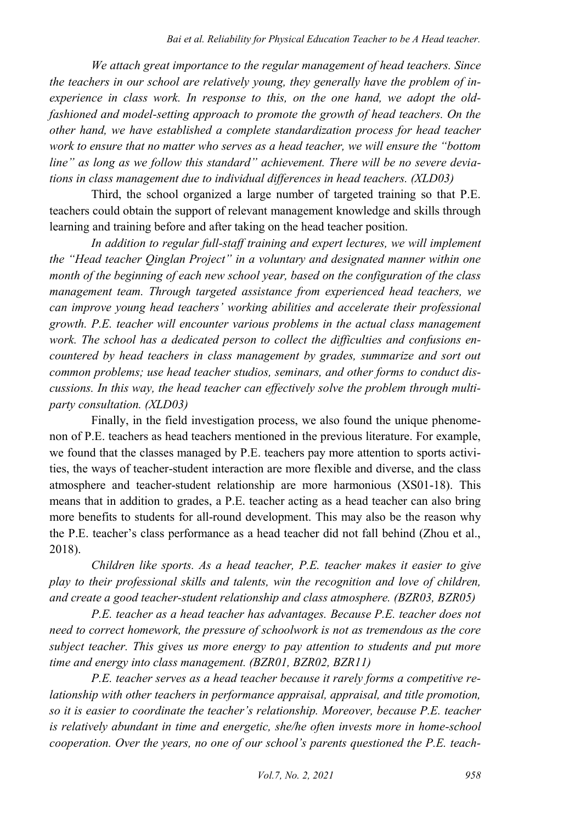*We attach great importance to the regular management of head teachers. Since the teachers in our school are relatively young, they generally have the problem of inexperience in class work. In response to this, on the one hand, we adopt the oldfashioned and model-setting approach to promote the growth of head teachers. On the other hand, we have established a complete standardization process for head teacher work to ensure that no matter who serves as a head teacher, we will ensure the "bottom line" as long as we follow this standard" achievement. There will be no severe deviations in class management due to individual differences in head teachers. (XLD03)* 

Third, the school organized a large number of targeted training so that P.E. teachers could obtain the support of relevant management knowledge and skills through learning and training before and after taking on the head teacher position.

*In addition to regular full-staff training and expert lectures, we will implement the "Head teacher Qinglan Project" in a voluntary and designated manner within one month of the beginning of each new school year, based on the configuration of the class management team. Through targeted assistance from experienced head teachers, we can improve young head teachers' working abilities and accelerate their professional growth. P.E. teacher will encounter various problems in the actual class management work. The school has a dedicated person to collect the difficulties and confusions encountered by head teachers in class management by grades, summarize and sort out common problems; use head teacher studios, seminars, and other forms to conduct discussions. In this way, the head teacher can effectively solve the problem through multiparty consultation. (XLD03)* 

Finally, in the field investigation process, we also found the unique phenomenon of P.E. teachers as head teachers mentioned in the previous literature. For example, we found that the classes managed by P.E. teachers pay more attention to sports activities, the ways of teacher-student interaction are more flexible and diverse, and the class atmosphere and teacher-student relationship are more harmonious (XS01-18). This means that in addition to grades, a P.E. teacher acting as a head teacher can also bring more benefits to students for all-round development. This may also be the reason why the P.E. teacher's class performance as a head teacher did not fall behind (Zhou et al., 2018).

*Children like sports. As a head teacher, P.E. teacher makes it easier to give play to their professional skills and talents, win the recognition and love of children, and create a good teacher-student relationship and class atmosphere. (BZR03, BZR05)* 

*P.E. teacher as a head teacher has advantages. Because P.E. teacher does not need to correct homework, the pressure of schoolwork is not as tremendous as the core subject teacher. This gives us more energy to pay attention to students and put more time and energy into class management. (BZR01, BZR02, BZR11)* 

*P.E. teacher serves as a head teacher because it rarely forms a competitive relationship with other teachers in performance appraisal, appraisal, and title promotion, so it is easier to coordinate the teacher's relationship. Moreover, because P.E. teacher is relatively abundant in time and energetic, she/he often invests more in home-school cooperation. Over the years, no one of our school's parents questioned the P.E. teach-*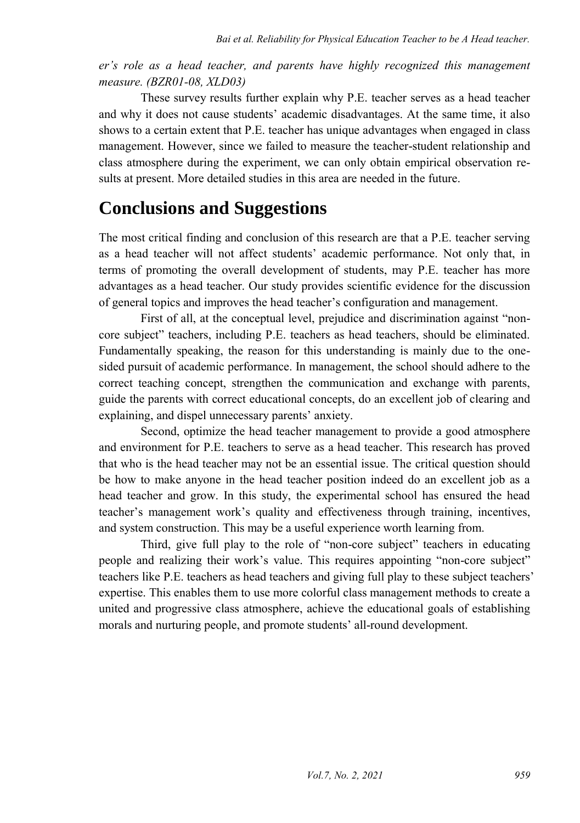*er's role as a head teacher, and parents have highly recognized this management measure. (BZR01-08, XLD03)* 

These survey results further explain why P.E. teacher serves as a head teacher and why it does not cause students' academic disadvantages. At the same time, it also shows to a certain extent that P.E. teacher has unique advantages when engaged in class management. However, since we failed to measure the teacher-student relationship and class atmosphere during the experiment, we can only obtain empirical observation results at present. More detailed studies in this area are needed in the future.

#### **Conclusions and Suggestions**

The most critical finding and conclusion of this research are that a P.E. teacher serving as a head teacher will not affect students' academic performance. Not only that, in terms of promoting the overall development of students, may P.E. teacher has more advantages as a head teacher. Our study provides scientific evidence for the discussion of general topics and improves the head teacher's configuration and management.

First of all, at the conceptual level, prejudice and discrimination against "noncore subject" teachers, including P.E. teachers as head teachers, should be eliminated. Fundamentally speaking, the reason for this understanding is mainly due to the onesided pursuit of academic performance. In management, the school should adhere to the correct teaching concept, strengthen the communication and exchange with parents, guide the parents with correct educational concepts, do an excellent job of clearing and explaining, and dispel unnecessary parents' anxiety.

Second, optimize the head teacher management to provide a good atmosphere and environment for P.E. teachers to serve as a head teacher. This research has proved that who is the head teacher may not be an essential issue. The critical question should be how to make anyone in the head teacher position indeed do an excellent job as a head teacher and grow. In this study, the experimental school has ensured the head teacher's management work's quality and effectiveness through training, incentives, and system construction. This may be a useful experience worth learning from.

Third, give full play to the role of "non-core subject" teachers in educating people and realizing their work's value. This requires appointing "non-core subject" teachers like P.E. teachers as head teachers and giving full play to these subject teachers' expertise. This enables them to use more colorful class management methods to create a united and progressive class atmosphere, achieve the educational goals of establishing morals and nurturing people, and promote students' all-round development.